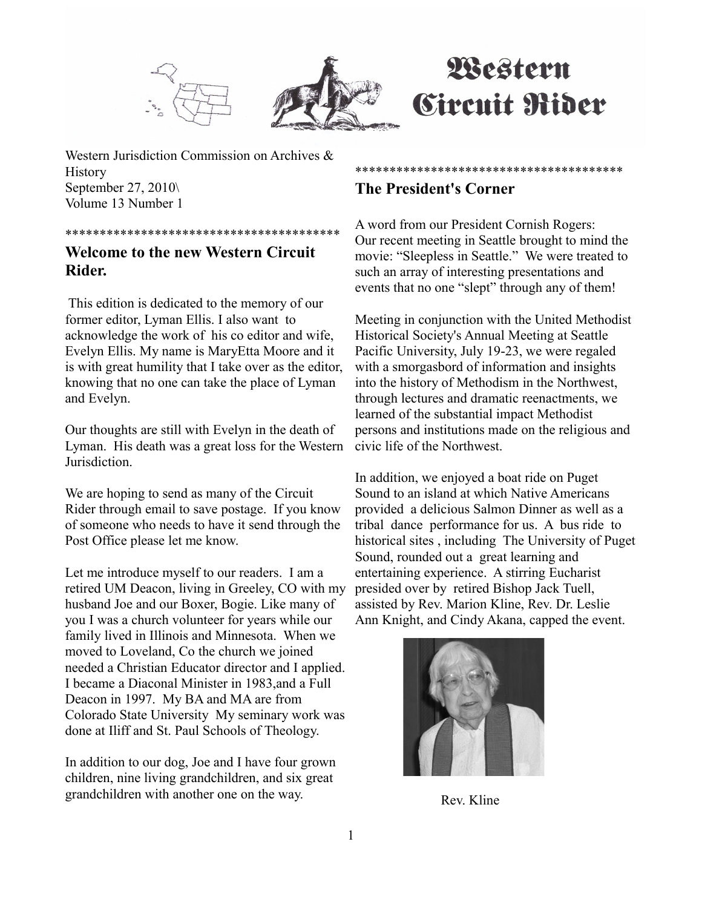



# Western **Circuit Rider**

Western Jurisdiction Commission on Archives & **History** September 27, 2010\ Volume 13 Number 1

### \*\*\*\*\*\*\*\*\*\*\*\*\*\*\*\*\*\*\*\*\*\*\*\*\*\*\*\*\*\*\*\*\*\*\*\*\*\*\*\*

# **Welcome to the new Western Circuit Rider.**

 This edition is dedicated to the memory of our former editor, Lyman Ellis. I also want to acknowledge the work of his co editor and wife, Evelyn Ellis. My name is MaryEtta Moore and it is with great humility that I take over as the editor, knowing that no one can take the place of Lyman and Evelyn.

Our thoughts are still with Evelyn in the death of Lyman. His death was a great loss for the Western **Jurisdiction** 

We are hoping to send as many of the Circuit Rider through email to save postage. If you know of someone who needs to have it send through the Post Office please let me know.

Let me introduce myself to our readers. I am a retired UM Deacon, living in Greeley, CO with my husband Joe and our Boxer, Bogie. Like many of you I was a church volunteer for years while our family lived in Illinois and Minnesota. When we moved to Loveland, Co the church we joined needed a Christian Educator director and I applied. I became a Diaconal Minister in 1983,and a Full Deacon in 1997. My BA and MA are from Colorado State University My seminary work was done at Iliff and St. Paul Schools of Theology.

In addition to our dog, Joe and I have four grown children, nine living grandchildren, and six great grandchildren with another one on the way.

# **The President's Corner**

A word from our President Cornish Rogers: Our recent meeting in Seattle brought to mind the movie: "Sleepless in Seattle." We were treated to such an array of interesting presentations and events that no one "slept" through any of them!

\*\*\*\*\*\*\*\*\*\*\*\*\*\*\*\*\*\*\*\*\*\*\*\*\*\*\*\*\*\*\*\*\*\*\*\*\*\*\*

Meeting in conjunction with the United Methodist Historical Society's Annual Meeting at Seattle Pacific University, July 19-23, we were regaled with a smorgasbord of information and insights into the history of Methodism in the Northwest, through lectures and dramatic reenactments, we learned of the substantial impact Methodist persons and institutions made on the religious and civic life of the Northwest.

In addition, we enjoyed a boat ride on Puget Sound to an island at which Native Americans provided a delicious Salmon Dinner as well as a tribal dance performance for us. A bus ride to historical sites , including The University of Puget Sound, rounded out a great learning and entertaining experience. A stirring Eucharist presided over by retired Bishop Jack Tuell, assisted by Rev. Marion Kline, Rev. Dr. Leslie Ann Knight, and Cindy Akana, capped the event.



Rev. Kline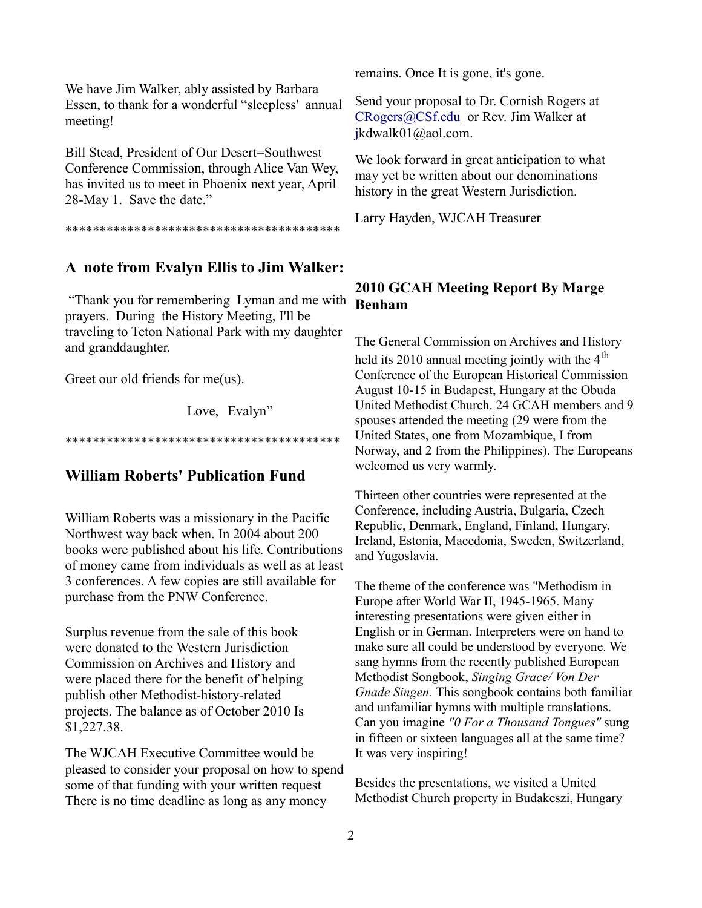We have Jim Walker, ably assisted by Barbara Essen, to thank for a wonderful "sleepless' annual meeting!

Bill Stead, President of Our Desert=Southwest Conference Commission, through Alice Van Wey, has invited us to meet in Phoenix next year, April 28-May 1. Save the date."

#### \*\*\*\*\*\*\*\*\*\*\*\*\*\*\*\*\*\*\*\*\*\*\*\*\*\*\*\*\*\*\*\*\*\*\*\*\*\*\*\*

## **A note from Evalyn Ellis to Jim Walker:**

 "Thank you for remembering Lyman and me with prayers. During the History Meeting, I'll be traveling to Teton National Park with my daughter and granddaughter.

Greet our old friends for me(us).

Love, Evalyn"

#### \*\*\*\*\*\*\*\*\*\*\*\*\*\*\*\*\*\*\*\*\*\*\*\*\*\*\*\*\*\*\*\*\*\*\*\*\*\*\*\*

## **William Roberts' Publication Fund**

William Roberts was a missionary in the Pacific Northwest way back when. In 2004 about 200 books were published about his life. Contributions of money came from individuals as well as at least 3 conferences. A few copies are still available for purchase from the PNW Conference.

Surplus revenue from the sale of this book were donated to the Western Jurisdiction Commission on Archives and History and were placed there for the benefit of helping publish other Methodist-history-related projects. The balance as of October 2010 Is \$1,227.38.

The WJCAH Executive Committee would be pleased to consider your proposal on how to spend some of that funding with your written request There is no time deadline as long as any money

remains. Once It is gone, it's gone.

Send your proposal to Dr. Cornish Rogers at [CRogers@CSf.edu](mailto:CRogers@CSf.edu) or Rev. Jim Walker at [jk](mailto:CRogers@CSf.eduor)dwalk01@aol.com.

We look forward in great anticipation to what may yet be written about our denominations history in the great Western Jurisdiction.

Larry Hayden, WJCAH Treasurer

## **2010 GCAH Meeting Report By Marge Benham**

The General Commission on Archives and History held its 2010 annual meeting jointly with the  $4<sup>th</sup>$ Conference of the European Historical Commission August 10-15 in Budapest, Hungary at the Obuda United Methodist Church. 24 GCAH members and 9 spouses attended the meeting (29 were from the United States, one from Mozambique, I from Norway, and 2 from the Philippines). The Europeans welcomed us very warmly.

Thirteen other countries were represented at the Conference, including Austria, Bulgaria, Czech Republic, Denmark, England, Finland, Hungary, Ireland, Estonia, Macedonia, Sweden, Switzerland, and Yugoslavia.

The theme of the conference was "Methodism in Europe after World War II, 1945-1965. Many interesting presentations were given either in English or in German. Interpreters were on hand to make sure all could be understood by everyone. We sang hymns from the recently published European Methodist Songbook, *Singing Grace/ Von Der Gnade Singen.* This songbook contains both familiar and unfamiliar hymns with multiple translations. Can you imagine *"0 For a Thousand Tongues"* sung in fifteen or sixteen languages all at the same time? It was very inspiring!

Besides the presentations, we visited a United Methodist Church property in Budakeszi, Hungary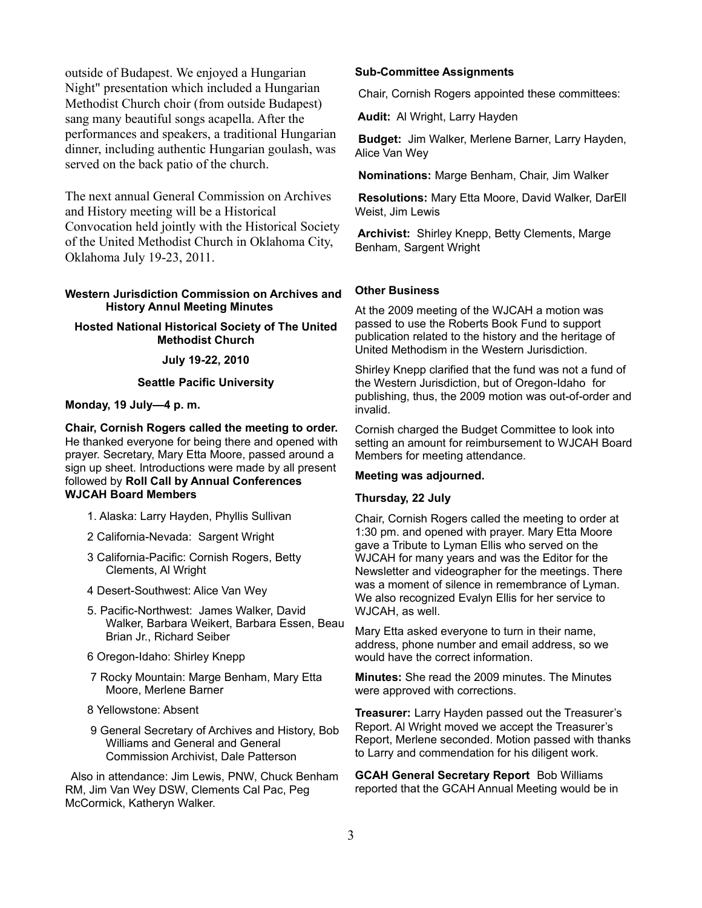outside of Budapest. We enjoyed a Hungarian Night" presentation which included a Hungarian Methodist Church choir (from outside Budapest) sang many beautiful songs acapella. After the performances and speakers, a traditional Hungarian dinner, including authentic Hungarian goulash, was served on the back patio of the church.

The next annual General Commission on Archives and History meeting will be a Historical Convocation held jointly with the Historical Society of the United Methodist Church in Oklahoma City, Oklahoma July 19-23, 2011.

#### **Western Jurisdiction Commission on Archives and History Annul Meeting Minutes**

**Hosted National Historical Society of The United Methodist Church**

**July 19-22, 2010**

#### **Seattle Pacific University**

**Monday, 19 July—4 p. m.**

**Chair, Cornish Rogers called the meeting to order.** He thanked everyone for being there and opened with prayer. Secretary, Mary Etta Moore, passed around a sign up sheet. Introductions were made by all present followed by **Roll Call by Annual Conferences WJCAH Board Members**

- 1. Alaska: Larry Hayden, Phyllis Sullivan
- 2 California-Nevada: Sargent Wright
- 3 California-Pacific: Cornish Rogers, Betty Clements, Al Wright
- 4 Desert-Southwest: Alice Van Wey
- 5. Pacific-Northwest: James Walker, David Walker, Barbara Weikert, Barbara Essen, Beau Brian Jr., Richard Seiber
- 6 Oregon-Idaho: Shirley Knepp
- 7 Rocky Mountain: Marge Benham, Mary Etta Moore, Merlene Barner
- 8 Yellowstone: Absent
- 9 General Secretary of Archives and History, Bob Williams and General and General Commission Archivist, Dale Patterson

 Also in attendance: Jim Lewis, PNW, Chuck Benham RM, Jim Van Wey DSW, Clements Cal Pac, Peg McCormick, Katheryn Walker.

#### **Sub-Committee Assignments**

Chair, Cornish Rogers appointed these committees:

**Audit:** Al Wright, Larry Hayden

**Budget:** Jim Walker, Merlene Barner, Larry Hayden, Alice Van Wey

**Nominations:** Marge Benham, Chair, Jim Walker

**Resolutions:** Mary Etta Moore, David Walker, DarEll Weist, Jim Lewis

**Archivist:** Shirley Knepp, Betty Clements, Marge Benham, Sargent Wright

#### **Other Business**

At the 2009 meeting of the WJCAH a motion was passed to use the Roberts Book Fund to support publication related to the history and the heritage of United Methodism in the Western Jurisdiction.

Shirley Knepp clarified that the fund was not a fund of the Western Jurisdiction, but of Oregon-Idaho for publishing, thus, the 2009 motion was out-of-order and invalid.

Cornish charged the Budget Committee to look into setting an amount for reimbursement to WJCAH Board Members for meeting attendance.

#### **Meeting was adjourned.**

#### **Thursday, 22 July**

Chair, Cornish Rogers called the meeting to order at 1:30 pm. and opened with prayer. Mary Etta Moore gave a Tribute to Lyman Ellis who served on the WJCAH for many years and was the Editor for the Newsletter and videographer for the meetings. There was a moment of silence in remembrance of Lyman. We also recognized Evalyn Ellis for her service to WJCAH, as well.

Mary Etta asked everyone to turn in their name, address, phone number and email address, so we would have the correct information.

**Minutes:** She read the 2009 minutes. The Minutes were approved with corrections.

**Treasurer:** Larry Hayden passed out the Treasurer's Report. Al Wright moved we accept the Treasurer's Report, Merlene seconded. Motion passed with thanks to Larry and commendation for his diligent work.

**GCAH General Secretary Report** Bob Williams reported that the GCAH Annual Meeting would be in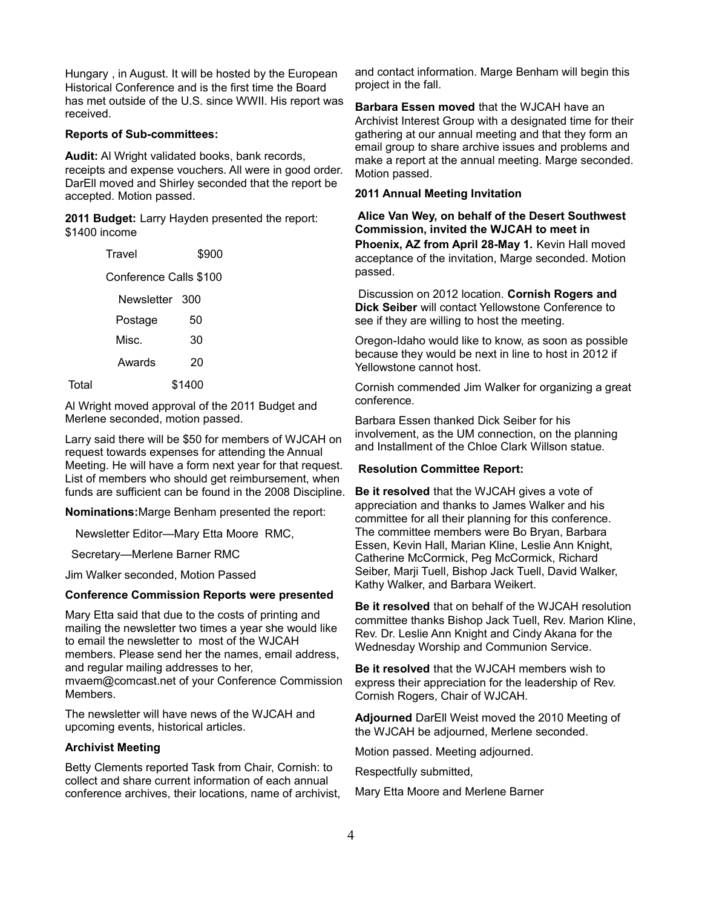Hungary , in August. It will be hosted by the European Historical Conference and is the first time the Board has met outside of the U.S. since WWII. His report was received.

#### **Reports of Sub-committees:**

**Audit:** Al Wright validated books, bank records, receipts and expense vouchers. All were in good order. DarEll moved and Shirley seconded that the report be accepted. Motion passed.

**2011 Budget:** Larry Hayden presented the report: \$1400 income

|       | Travel                 | \$900  |  |
|-------|------------------------|--------|--|
|       | Conference Calls \$100 |        |  |
|       | Newsletter 300         |        |  |
|       | Postage                | 50     |  |
|       | Misc.                  | 30     |  |
|       | Awards                 | 20     |  |
| Total |                        | \$1400 |  |

Al Wright moved approval of the 2011 Budget and Merlene seconded, motion passed.

Larry said there will be \$50 for members of WJCAH on request towards expenses for attending the Annual Meeting. He will have a form next year for that request. List of members who should get reimbursement, when funds are sufficient can be found in the 2008 Discipline.

**Nominations:**Marge Benham presented the report:

Newsletter Editor—Mary Etta Moore RMC,

Secretary—Merlene Barner RMC

Jim Walker seconded, Motion Passed

#### **Conference Commission Reports were presented**

Mary Etta said that due to the costs of printing and mailing the newsletter two times a year she would like to email the newsletter to most of the WJCAH members. Please send her the names, email address, and regular mailing addresses to her, mvaem@comcast.net of your Conference Commission

Members.

The newsletter will have news of the WJCAH and upcoming events, historical articles.

#### **Archivist Meeting**

Betty Clements reported Task from Chair, Cornish: to collect and share current information of each annual conference archives, their locations, name of archivist, and contact information. Marge Benham will begin this project in the fall.

**Barbara Essen moved** that the WJCAH have an Archivist Interest Group with a designated time for their gathering at our annual meeting and that they form an email group to share archive issues and problems and make a report at the annual meeting. Marge seconded. Motion passed.

#### **2011 Annual Meeting Invitation**

**Alice Van Wey, on behalf of the Desert Southwest Commission, invited the WJCAH to meet in Phoenix, AZ from April 28-May 1.** Kevin Hall moved acceptance of the invitation, Marge seconded. Motion passed.

Discussion on 2012 location. **Cornish Rogers and Dick Seiber** will contact Yellowstone Conference to see if they are willing to host the meeting.

Oregon-Idaho would like to know, as soon as possible because they would be next in line to host in 2012 if Yellowstone cannot host.

Cornish commended Jim Walker for organizing a great conference.

Barbara Essen thanked Dick Seiber for his involvement, as the UM connection, on the planning and Installment of the Chloe Clark Willson statue.

#### **Resolution Committee Report:**

**Be it resolved** that the WJCAH gives a vote of appreciation and thanks to James Walker and his committee for all their planning for this conference. The committee members were Bo Bryan, Barbara Essen, Kevin Hall, Marian Kline, Leslie Ann Knight, Catherine McCormick, Peg McCormick, Richard Seiber, Marji Tuell, Bishop Jack Tuell, David Walker, Kathy Walker, and Barbara Weikert.

**Be it resolved** that on behalf of the WJCAH resolution committee thanks Bishop Jack Tuell, Rev. Marion Kline, Rev. Dr. Leslie Ann Knight and Cindy Akana for the Wednesday Worship and Communion Service.

**Be it resolved** that the WJCAH members wish to express their appreciation for the leadership of Rev. Cornish Rogers, Chair of WJCAH.

**Adjourned** DarEll Weist moved the 2010 Meeting of the WJCAH be adjourned, Merlene seconded.

Motion passed. Meeting adjourned.

Respectfully submitted,

Mary Etta Moore and Merlene Barner